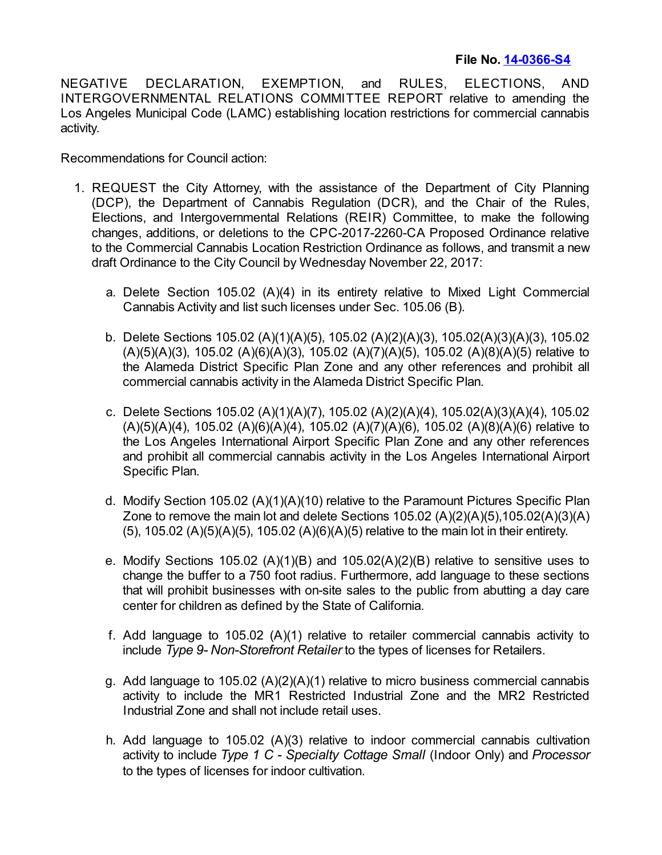## **File No. [14-0366-S4](https://cityclerk.lacity.org/lacityclerkconnect/index.cfm?fa=ccfi.viewrecord&cfnumber=14-0366-S4)**

NEGATIVE DECLARATION, EXEMPTION, and RULES, ELECTIONS, AND INTERGOVERNMENTAL RELATIONS COMMITTEE REPORT relative to amending the Los Angeles Municipal Code (LAMC) establishing location restrictions for commercial cannabis activity.

Recommendations for Council action:

- 1. REQUEST the City Attorney, with the assistance of the Department of City Planning (DCP), the Department of Cannabis Regulation (DCR), and the Chair of the Rules, Elections, and Intergovernmental Relations (REIR) Committee, to make the following changes, additions, or deletions to the CPC-2017-2260-CA Proposed Ordinance relative to the Commercial Cannabis Location Restriction Ordinance as follows, and transmit a new draft Ordinance to the City Council by Wednesday November 22, 2017:
	- a. Delete Section 105.02 (A)(4) in its entirety relative to Mixed Light Commercial Cannabis Activity and list such licenses under Sec. 105.06 (B).
	- b. Delete Sections 105.02 (A)(1)(A)(5), 105.02 (A)(2)(A)(3), 105.02(A)(3)(A)(3), 105.02 (A)(5)(A)(3), 105.02 (A)(6)(A)(3), 105.02 (A)(7)(A)(5), 105.02 (A)(8)(A)(5) relative to the Alameda District Specific Plan Zone and any other references and prohibit all commercial cannabis activity in the Alameda District Specific Plan.
	- c. Delete Sections 105.02 (A)(1)(A)(7), 105.02 (A)(2)(A)(4), 105.02(A)(3)(A)(4), 105.02 (A)(5)(A)(4), 105.02 (A)(6)(A)(4), 105.02 (A)(7)(A)(6), 105.02 (A)(8)(A)(6) relative to the Los Angeles International Airport Specific Plan Zone and any other references and prohibit all commercial cannabis activity in the Los Angeles International Airport Specific Plan.
	- d. Modify Section 105.02 (A)(1)(A)(10) relative to the Paramount Pictures Specific Plan Zone to remove the main lot and delete Sections  $105.02$  (A)(2)(A)(5),105.02(A)(3)(A) (5), 105.02 (A)(5)(A)(5), 105.02 (A)(6)(A)(5) relative to the main lot in their entirety.
	- e. Modify Sections 105.02 (A)(1)(B) and 105.02(A)(2)(B) relative to sensitive uses to change the buffer to a 750 foot radius. Furthermore, add language to these sections that will prohibit businesses with on-site sales to the public from abutting a day care center for children as defined by the State of California.
	- f. Add language to 105.02 (A)(1) relative to retailer commercial cannabis activity to include *Type 9- Non-Storefront Retailer* to the types of licenses for Retailers.
	- g. Add language to 105.02 (A)(2)(A)(1) relative to micro business commercial cannabis activity to include the MR1 Restricted Industrial Zone and the MR2 Restricted Industrial Zone and shall not include retail uses.
	- h. Add language to 105.02 (A)(3) relative to indoor commercial cannabis cultivation activity to include *Type 1 C - Specialty Cottage Small* (Indoor Only) and *Processor* to the types of licenses for indoor cultivation.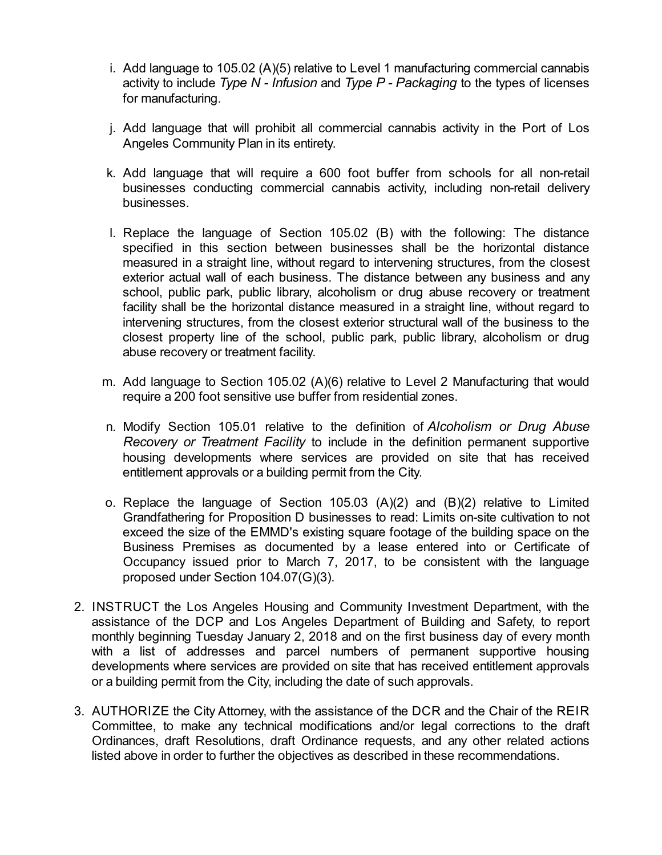- i. Add language to 105.02 (A)(5) relative to Level 1 manufacturing commercial cannabis activity to include *Type N - Infusion* and *Type P - Packaging* to the types of licenses for manufacturing.
- j. Add language that will prohibit all commercial cannabis activity in the Port of Los Angeles Community Plan in its entirety.
- k. Add language that will require a 600 foot buffer from schools for all non-retail businesses conducting commercial cannabis activity, including non-retail delivery businesses.
- l. Replace the language of Section 105.02 (B) with the following: The distance specified in this section between businesses shall be the horizontal distance measured in a straight line, without regard to intervening structures, from the closest exterior actual wall of each business. The distance between any business and any school, public park, public library, alcoholism or drug abuse recovery or treatment facility shall be the horizontal distance measured in a straight line, without regard to intervening structures, from the closest exterior structural wall of the business to the closest property line of the school, public park, public library, alcoholism or drug abuse recovery or treatment facility.
- m. Add language to Section 105.02 (A)(6) relative to Level 2 Manufacturing that would require a 200 foot sensitive use buffer from residential zones.
- n. Modify Section 105.01 relative to the definition of *Alcoholism or Drug Abuse Recovery or Treatment Facility* to include in the definition permanent supportive housing developments where services are provided on site that has received entitlement approvals or a building permit from the City.
- o. Replace the language of Section 105.03 (A)(2) and (B)(2) relative to Limited Grandfathering for Proposition D businesses to read: Limits on-site cultivation to not exceed the size of the EMMD's existing square footage of the building space on the Business Premises as documented by a lease entered into or Certificate of Occupancy issued prior to March 7, 2017, to be consistent with the language proposed under Section 104.07(G)(3).
- 2. INSTRUCT the Los Angeles Housing and Community Investment Department, with the assistance of the DCP and Los Angeles Department of Building and Safety, to report monthly beginning Tuesday January 2, 2018 and on the first business day of every month with a list of addresses and parcel numbers of permanent supportive housing developments where services are provided on site that has received entitlement approvals or a building permit from the City, including the date of such approvals.
- 3. AUTHORIZE the City Attorney, with the assistance of the DCR and the Chair of the REIR Committee, to make any technical modifications and/or legal corrections to the draft Ordinances, draft Resolutions, draft Ordinance requests, and any other related actions listed above in order to further the objectives as described in these recommendations.